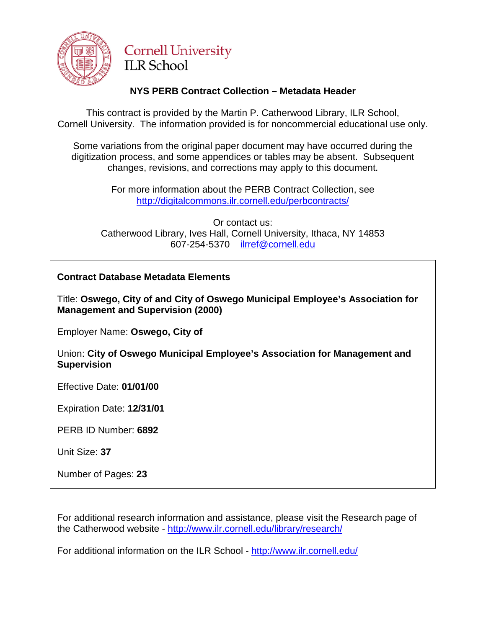

## **Cornell University ILR School**

## **NYS PERB Contract Collection – Metadata Header**

This contract is provided by the Martin P. Catherwood Library, ILR School, Cornell University. The information provided is for noncommercial educational use only.

Some variations from the original paper document may have occurred during the digitization process, and some appendices or tables may be absent. Subsequent changes, revisions, and corrections may apply to this document.

> For more information about the PERB Contract Collection, see http://digitalcommons.ilr.cornell.edu/perbcontracts/

Or contact us: Catherwood Library, Ives Hall, Cornell University, Ithaca, NY 14853 607-254-5370 [ilrref@cornell.edu](mailto:ilrref@cornell.edu)

## **Contract Database Metadata Elements**

Title: **Oswego, City of and City of Oswego Municipal Employee's Association for Management and Supervision (2000)**

Employer Name: **Oswego, City of**

Union: **City of Oswego Municipal Employee's Association for Management and Supervision** 

Effective Date: **01/01/00** 

Expiration Date: **12/31/01** 

PERB ID Number: **6892**

Unit Size: **37**

Number of Pages: **23**

For additional research information and assistance, please visit the Research page of the Catherwood website - <http://www.ilr.cornell.edu/library/research/>

For additional information on the ILR School - <http://www.ilr.cornell.edu/>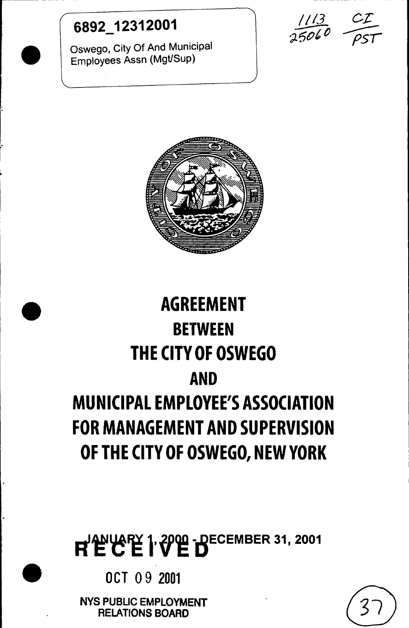## <sup>6892</sup> <sup>12312001</sup> *11/3* c.:c

 $\bullet$ 

 $\overline{\phantom{a}}$ 

 $\blacksquare$ 

Oswego, City Of And Municipal Employees Assn (Mgt/Sup)

 $25060$   $\sqrt{55}$ 



## **AGREEMENT BETWEEN THE CITVOF OSWEGO AND MUNICIPAL EMPLOYEE'S ASSOCIATION FOR MANAGEMENT AND SUPERVISION OF THE CITY OF OSWEGO, NEW YORK**

# REC'E 1.2000 - DECEMBER 31, 2001

OCT 09 2001

NYS PUBLIC EMPLOYMENT RELATIONS BOARD

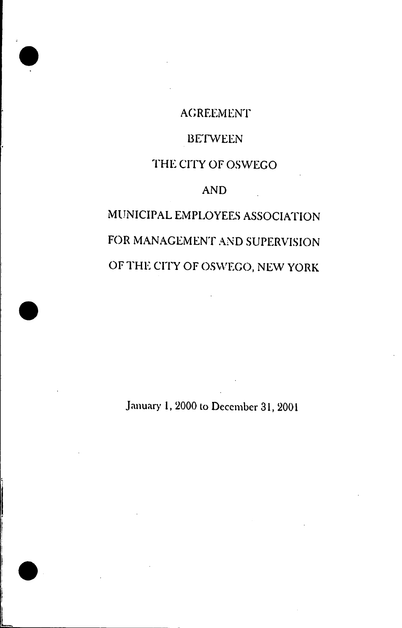### **AGREEMENT**

.

.

I f I I I  $\mathbf{r}$ I I ) I

L

.

### **BETWEEN**

## THE CITY OF OSWEGO

### AND

## MUNICIPAL EMPLOYEES ASSOCIATION FOR MANAGEMENT AND SUPERVISION OF THE CITY OF OSWEGO, NEW YORK

January 1, 2000 to December 31, 2001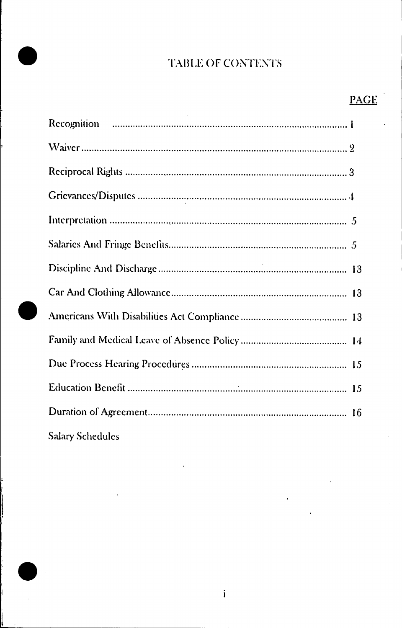## TABLE OF CONTENTS

## **PAGE**

| Salary Schoduler <b>Salary School</b> |
|---------------------------------------|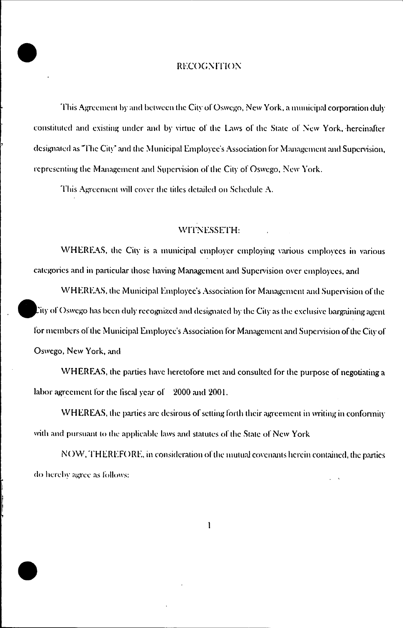#### **RECOGNITION**

This Agreement by and between the City of Oswego, New York, a municipal corporation duly constituted and existing under and by virtue of the Laws of the State of New York, hereinafter designated as "The City" and the Municipal Employee's Association for Management and Supervision, representing the Management and Supervision of the City of Oswego, New York.

This Agreement will cover the titles detailed on Schedule A.

#### WITNESSETH:

WHEREAS, the City is a municipal employer employing various employees in various categories and in particular those having Management and Supervision over employees, and

WHEREAS, the Municipal Employee's Association for Management and Supervision of the Lity of Oswego has been duly recognized and designated by the City as the exclusive bargaining agent for members of the Municipal Employee's Association for Management and Supervision of the City of Oswego, New York, and

WHEREAS, the parties have heretofore met and consulted for the purpose of negotiating a labor agreement for the fiscal year of 2000 and 2001.

WHEREAS, the parties are desirous of setting forth their agreement in writing in conformity with and pursuant to the applicable laws and statutes of the State of New York

NOW, THEREFORE, in consideration of the mutual covenants herein contained, the parties do hereby agree as follows: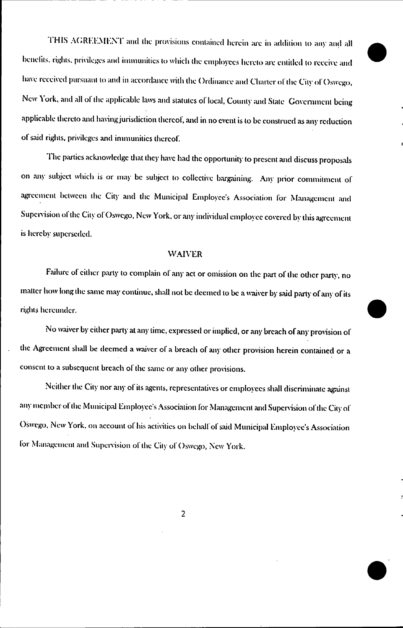THIS AGREEMENT and the provisions contained herein are in addition to any and all benefits, rights, privileges and immunities to which the employees hereto are entitled to receive and have received pursuant to and in accordance with the Ordinance and Charter of the City of Oswego, New York, and all of the applicable laws and statutes of local, County and State Government being applicable thereto and having jurisdiction thereof, and in no event is to be construed as any reduction of said rights, privileges and immunities thereof.

The parties acknowledge that they have had the opportunity to present and discuss proposals on any subject which is or may be subject to collective bargaining. Any prior commitment of agreement between the City and the Municipal Employee's Association for Management and Supervision of the City of Oswego, New York, or any individual employee covered by this agreement is hereby superseded.

#### **WAIVER**

Failure of either party to complain of any act or omission on the part of the other party, no matter how long the same may continue, shall not be deemed to be a waiver by said party of any of its rights hereunder.

No waiver by either party at any time, expressed or implied, or any breach of any provision of the Agreement shall be deemed a waiver of a breach of any other provision herein contained or a consent to a subsequent breach of the same or any other provisions.

Neither the City nor any of its agents, representatives or employees shall discriminate against any member of the Municipal Employee's Association for Management and Supervision of the City of Oswego, New York, on account of his activities on behalf of said Municipal Employee's Association for Management and Supervision of the City of Oswego, New York.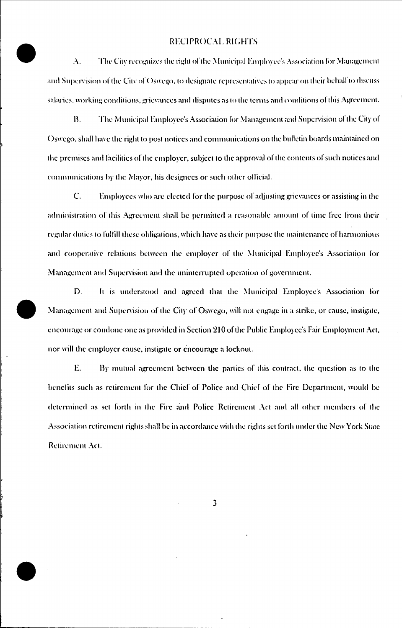#### **RECIPROCAL RIGHTS**

 $\mathbf{A}$ . The City recognizes the right of the Municipal Employee's Association for Management and Supervision of the City of Oswego, to designate representatives to appear on their behalf to discuss salaries, working conditions, grievances and disputes as to the terms and conditions of this Agreement.

 $\mathbf{B}$ . The Municipal Employee's Association for Management and Supervision of the City of Oswego, shall have the right to post notices and communications on the bulletin boards maintained on the premises and facilities of the employer, subject to the approval of the contents of such notices and communications by the Mayor, his designees or such other official.

 $\mathbf{C}$ . Employees who are elected for the purpose of adjusting grievances or assisting in the administration of this Agreement shall be permitted a reasonable amount of time free from their regular duties to fulfill these obligations, which have as their purpose the maintenance of harmonious and cooperative relations between the employer of the Municipal Employee's Association for Management and Supervision and the uninterrupted operation of government.

D. It is understood and agreed that the Municipal Employee's Association for Management and Supervision of the City of Oswego, will not engage in a strike, or cause, instigate, encourage or condone one as provided in Section 210 of the Public Employee's Fair Employment Act, nor will the employer cause, instigate or encourage a lockout.

E. By mutual agreement between the parties of this contract, the question as to the benefits such as retirement for the Chief of Police and Chief of the Fire Department, would be determined as set forth in the Fire and Police Retirement Act and all other members of the Association retirement rights shall be in accordance with the rights set forth under the New York State Retirement Act.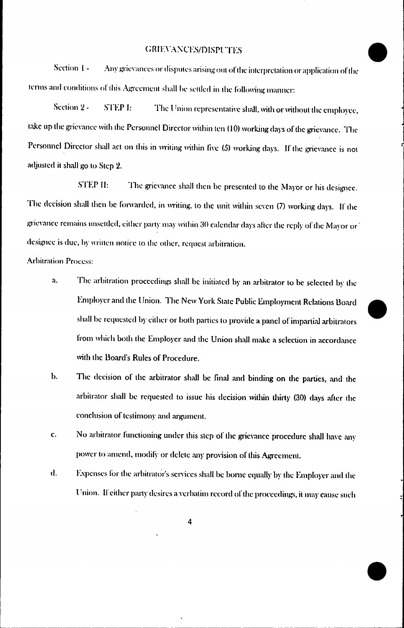#### **GRIEVANCES/DISPUTES**

Section 1 -Any grievances or disputes arising out of the interpretation or application of the terms and conditions of this Agreement shall be settled in the following manner:

Section 2 -**STEP I:** The Union representative shall, with or without the employee, take up the grievance with the Personnel Director within ten (10) working days of the grievance. The Personnel Director shall act on this in writing within five (5) working days. If the grievance is not adjusted it shall go to Step 2.

**STEP II:** The grievance shall then be presented to the Mayor or his designee. The decision shall then be forwarded, in writing, to the unit within seven (7) working days. If the grievance remains unsettled, either party may within 30 calendar days after the reply of the Mayor or designee is due, by written notice to the other, request arbitration.

#### **Arbitration Process:**

- The arbitration proceedings shall be initiated by an arbitrator to be selected by the λ. Employer and the Union. The New York State Public Employment Relations Board shall be requested by either or both parties to provide a panel of impartial arbitrators from which both the Employer and the Union shall make a selection in accordance with the Board's Rules of Procedure.
- $\mathbf b$ . The decision of the arbitrator shall be final and binding on the parties, and the arbitrator shall be requested to issue his decision within thirty (30) days after the conclusion of testimony and argument.
- $\mathbf{c}$ . No arbitrator functioning under this step of the grievance procedure shall have any power to amend, modify or delete any provision of this Agreement.
- $d.$ Expenses for the arbitrator's services shall be borne equally by the Employer and the Union. If either party desires a verbatim record of the proceedings, it may cause such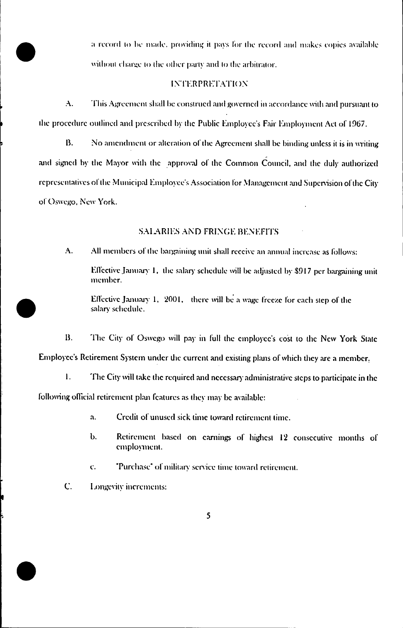a record to be made, providing it pays for the record and makes copies available without charge to the other party and to the arbitrator.

#### **INTERPRETATION**

 $\mathbf{A}$ This Agreement shall be construed and governed in accordance with and pursuant to the procedure outlined and prescribed by the Public Employee's Fair Employment Act of 1967.

 $\overline{\mathbf{B}}$ . No amendment or alteration of the Agreement shall be binding unless it is in writing and signed by the Mayor with the approval of the Common Council, and the duly authorized representatives of the Municipal Employee's Association for Management and Supervision of the City of Oswego, New York.

#### **SALARIES AND FRINGE BENEFITS**

 $\mathbf{A}$ . All members of the bargaining unit shall receive an annual increase as follows:

Effective January 1, the salary schedule will be adjusted by \$917 per bargaining unit member.

Effective January 1, 2001, there will be a wage freeze for each step of the salary schedule.

 $\bf{B}$ . The City of Oswego will pay in full the employee's cost to the New York State Employee's Retirement System under the current and existing plans of which they are a member.

 $\mathbf{L}$ The City will take the required and necessary administrative steps to participate in the following official retirement plan features as they may be available:

- Credit of unused sick time toward retirement time. a.
- Ь. Retirement based on carnings of highest 12 consecutive months of employment.
- "Purchase" of military service time toward retirement. c.
- C. Longevity increments: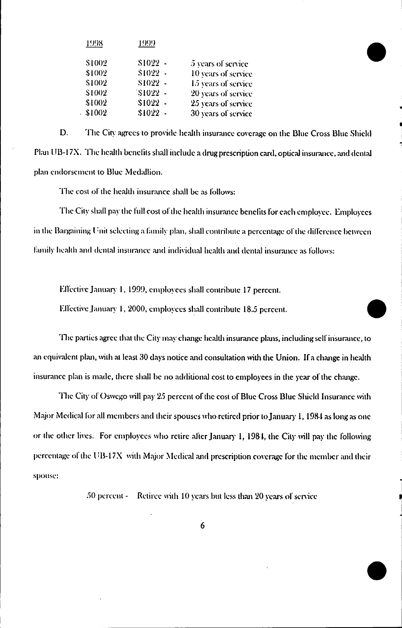| 4998   | 1999      |                     |
|--------|-----------|---------------------|
| \$1002 | $$1022 -$ | 5 years of service  |
| \$1002 | $$1022 -$ | 10 years of service |
| \$1002 | $$1022 -$ | 15 years of service |
| \$1002 | $$1022 -$ | 20 years of service |
| \$1002 | $$1022 -$ | 25 years of service |
| \$1002 | $$1022 -$ | 30 years of service |

D. The City agrees to provide health insurance coverage on the Blue Cross Blue Shield Plan UB-17X. The health benefits shall include a drug prescription card, optical insurance, and dental plan endorsement to Blue Medallion.

The cost of the health insurance shall be as follows:

The City shall pay the full cost of the health insurance benefits for each employee. Employees in the Bargaining Unit selecting a family plan, shall contribute a percentage of the difference between family health and dental insurance and individual health and dental insurance as follows:

Effective January 1, 1999, employees shall contribute 17 percent.

Effective January 1, 2000, employees shall contribute 18.5 percent.

The parties agree that the City may change health insurance plans, including self insurance, to an equivalent plan, with at least 30 days notice and consultation with the Union. If a change in health insurance plan is made, there shall be no additional cost to employees in the year of the change.

The City of Oswego will pay 25 percent of the cost of Blue Cross Blue Shield Insurance with Major Medical for all members and their spouses who retired prior to January 1, 1984 as long as one or the other lives. For employees who retire after January 1, 1984, the City will pay the following percentage of the UB-17X with Major Medical and prescription coverage for the member and their spouse:

> $50$  percent  $\sim$ Retiree with 10 years but less than 20 years of service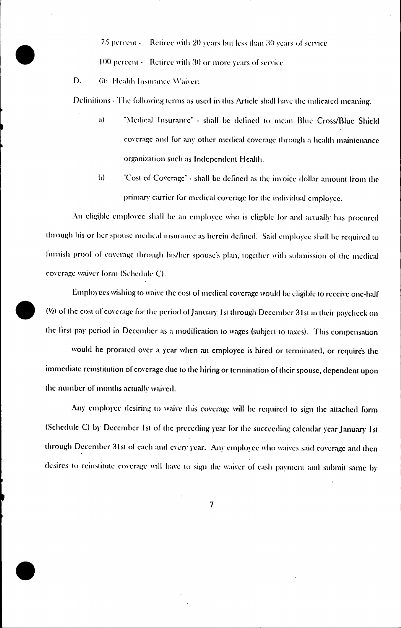75 percent -Retiree with 20 years but less than 30 years of service 100 percent - Retiree with 30 or more years of service

D. 6): Health Insurance Waiver:

Definitions - The following terms as used in this Article shall have the indicated meaning.

- "Medical Insurance" shall be defined to mean Blue Cross/Blue Shield a) coverage and for any other medical coverage through a health maintenance organization such as Independent Health.
- $\mathbf{b}$ "Cost of Coverage" - shall be defined as the invoice dollar amount from the primary carrier for medical coverage for the individual employee.

An eligible employee shall be an employee who is eligible for and actually has procured through his or her spouse medical insurance as herein defined. Said employee shall be required to furnish proof of coverage through his/her spouse's plan, together with submission of the medical coverage waiver form (Schedule C).

Employees wishing to waive the cost of medical coverage would be eligible to receive one-half (16) of the cost of coverage for the period of January 1st through December 31st in their paycheck on the first pay period in December as a modification to wages (subject to taxes). This compensation

would be prorated over a year when an employee is hired or terminated, or requires the immediate reinstitution of coverage due to the hiring or termination of their spouse, dependent upon the number of months actually waived.

Any employee desiring to waive this coverage will be required to sign the attached form (Schedule C) by December 1st of the preceding year for the succeeding calendar year January 1st through December 31st of each and every year. Any employee who waives said coverage and then desires to reinstitute coverage will have to sign the waiver of cash payment and submit same by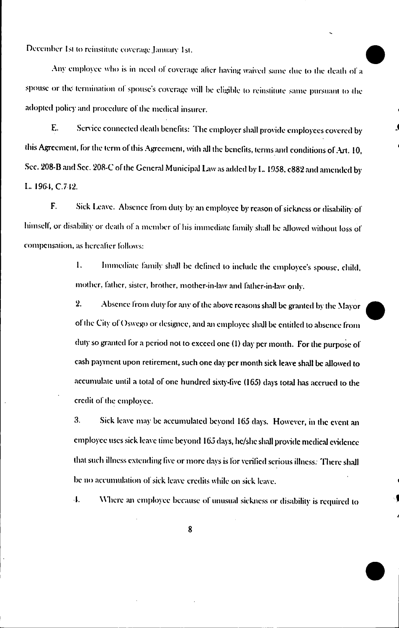December 1st to reinstitute coverage January 1st.

Any employee who is in need of coverage after having waived same due to the death of a spouse or the termination of spouse's coverage will be eligible to reinstitute same pursuant to the adopted policy and procedure of the medical insurer.

Service connected death benefits: The employer shall provide employees covered by E. this Agreement, for the term of this Agreement, with all the benefits, terms and conditions of Art. 10, Sec. 208-B and Sec. 208-C of the General Municipal Law as added by L. 1958, c882 and amended by L. 1964, C.742.

F. Sick Leave. Absence from duty by an employee by reason of sickness or disability of himself, or disability or death of a member of his immediate family shall be allowed without loss of compensation, as hereafter follows:

> $\mathbf{1}$ . Immediate family shall be defined to include the employee's spouse, child, mother, father, sister, brother, mother-in-law and father-in-law only.

> $2.$ Absence from duty for any of the above reasons shall be granted by the Mayor of the City of Oswego or designee, and an employee shall be entitled to absence from duty so granted for a period not to exceed one (1) day per month. For the purpose of cash payment upon retirement, such one day per month sick leave shall be allowed to accumulate until a total of one hundred sixty-five (165) days total has accrued to the credit of the employee.

> $3.$ Sick leave may be accumulated beyond 165 days. However, in the event an employee uses sick leave time beyond 165 days, he/she shall provide medical evidence that such illness extending five or more days is for verified serious illness. There shall be no accumulation of sick leave credits while on sick leave.

> 4. Where an employee because of unusual sickness or disability is required to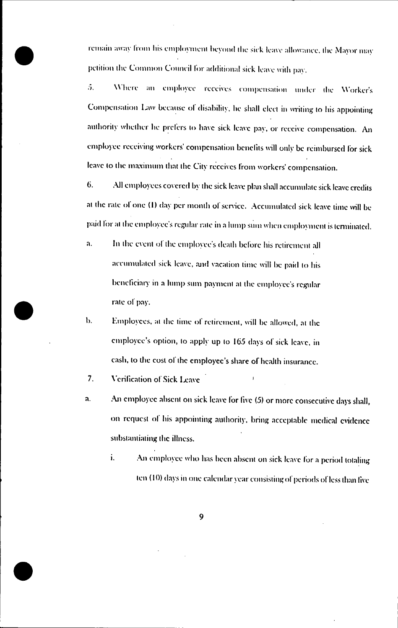remain away from his employment beyond the sick leave allowance, the Mayor may petition the Common Council for additional sick leave with pay.

Where an employee receives compensation under the Worker's 5. Compensation Law because of disability, he shall elect in writing to his appointing authority whether he prefers to have sick leave pay, or receive compensation. An employee receiving workers' compensation benefits will only be reimbursed for sick leave to the maximum that the City receives from workers' compensation.

6. All employees covered by the sick leave plan shall accumulate sick leave credits at the rate of one (1) day per month of service. Accumulated sick leave time will be paid for at the employee's regular rate in a lump sum when employment is terminated.

- In the event of the employee's death before his retirement all a. accumulated sick leave, and vacation time will be paid to his beneficiary in a lump sum payment at the employee's regular rate of pay.
- Employees, at the time of retirement, will be allowed, at the b. employee's option, to apply up to 165 days of sick leave, in cash, to the cost of the employee's share of health insurance.

7. Verification of Sick Leave

- An employee absent on sick leave for five (5) or more consecutive days shall, a. on request of his appointing authority, bring acceptable medical evidence substantiating the illness.
	- An employee who has been absent on sick leave for a period totaling i. ten (10) days in one calendar year consisting of periods of less than five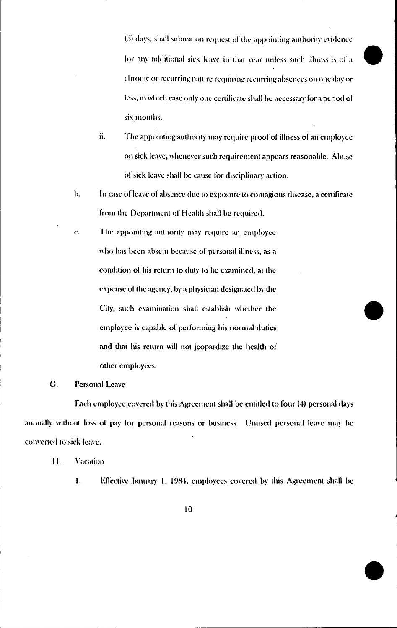(5) days, shall submit on request of the appointing authority evidence for any additional sick leave in that year unless such illness is of a chronic or recurring nature requiring recurring absences on one day or less, in which case only one certificate shall be necessary for a period of six months.

- ii. The appointing authority may require proof of illness of an employee on sick leave, whenever such requirement appears reasonable. Abuse of sick leave shall be cause for disciplinary action.
- b. In case of leave of absence due to exposure to contagious disease, a certificate from the Department of Health shall be required.
- c. The appointing authority may require an employee who has been absent because of personal illness, as a condition of his return to duty to be examined, at the expense of the agency, by a physician designated by the City, such examination shall establish whether the employee is capable of performing his normal duties and that his return will not jeopardize the health of other employees.
- G. Personal Leave

Each employee covered by this Agreement shall be entitled to four (4) personal days annually without loss of pay for personal reasons or business. Unused personal leave may be converted to sick leave.

- Η. Vacation
	- $\mathbf{I}$ . Effective January 1, 1984, employees covered by this Agreement shall be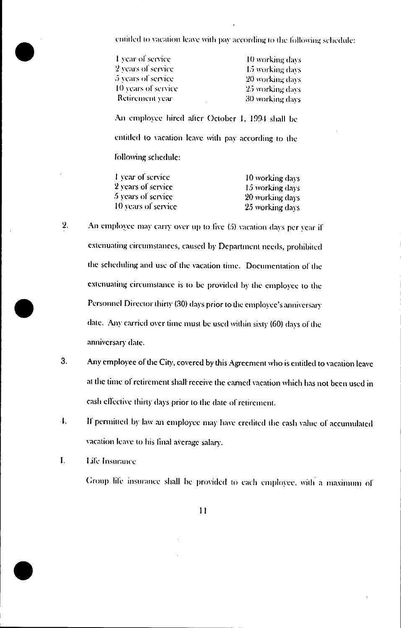entitled to vacation leave with pay according to the following schedule:

| 1 year of service                                                                                                               | 10 working days |
|---------------------------------------------------------------------------------------------------------------------------------|-----------------|
| 2 years of service                                                                                                              | 15 working days |
| 5 years of service                                                                                                              | 20 working days |
| 10 years of service                                                                                                             | 25 working days |
| Retirement year                                                                                                                 | 30 working days |
| An employee hired after October 1, 1994 shall be<br>entitled to vacation leave with pay according to the<br>following schedule: |                 |
|                                                                                                                                 |                 |

| 10 working days |
|-----------------|
| 15 working days |
| 20 working days |
| 25 working days |
|                 |

- $2.$ An employee may carry over up to five (5) vacation days per year if extenuating circumstances, caused by Department needs, prohibited the scheduling and use of the vacation time. Documentation of the extenuating circumstance is to be provided by the employee to the Personnel Director thirty (30) days prior to the employee's anniversary date. Any carried over time must be used within sixty (60) days of the anniversary date.
- $3.$ Any employee of the City, covered by this Agreement who is entitled to vacation leave at the time of retirement shall receive the earned vacation which has not been used in cash effective thirty days prior to the date of retirement.
- 4. If permitted by law an employee may have credited the cash value of accumulated vacation leave to his final average salary.

 $\mathbf{I}$ . Life Insurance

Group life insurance shall be provided to each employee, with a maximum of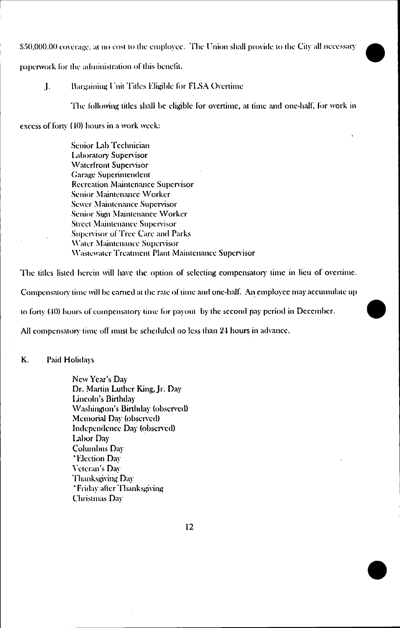\$50,000.00 coverage, at no cost to the employee. The Union shall provide to the City all necessary

paperwork for the administration of this benefit.

#### Bargaining Unit Titles Eligible for FLSA Overtime  $\mathbf{L}$

The following titles shall be eligible for overtime, at time and one-hall, for work in

excess of forty (40) hours in a work week:

Senior Lab Technician Laboratory Supervisor **Waterfront Supervisor Garage Superintendent** Recreation Maintenance Supervisor Senior Maintenance Worker Sewer Maintenance Supervisor Senior Sign Maintenance Worker **Street Maintenance Supervisor Supervisor of Tree Care and Parks** Water Maintenance Supervisor Wastewater Treatment Plant Maintenance Supervisor

The titles listed herein will have the option of selecting compensatory time in lieu of overtime.

Compensatory time will be carned at the rate of time and one-half. An employee may accumulate up

to forty (40) hours of compensatory time for payout by the second pay period in December.

All compensatory time off must be scheduled no less than 24 hours in advance.

K. Paid Holidays

> New Year's Day Dr. Martin Luther King, Jr. Day Lincoln's Birthday Washington's Birthday (observed) Memorial Day (observed) Independence Day (observed) Labor Day Columbus Day **\*Election Day** Veteran's Dav Thanksgiving Day \*Friday after Thanksgiving Christmas Dav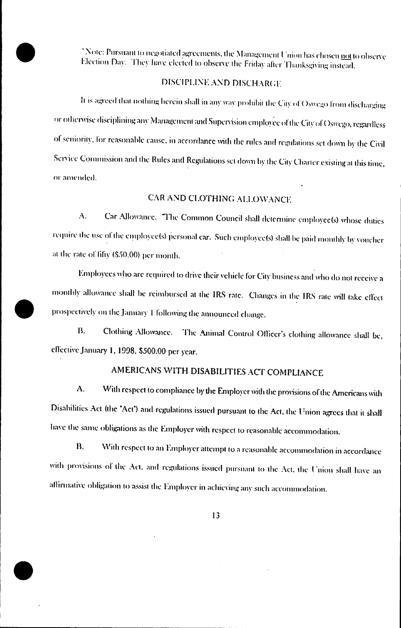"Note: Pursuant to negotiated agreements, the Management Union has chosen not to observe Election Day. They have elected to observe the Friday after Thanksgiving instead.

#### DISCIPLINE AND DISCHARGE

It is agreed that nothing herein shall in any way prohibit the City of Oswego from discharging or otherwise disciplining any Management and Supervision employee of the City of Oswego, regardless of seniority, for reasonable cause, in accordance with the rules and regulations set down by the Civil Service Commission and the Rules and Regulations set down by the City Charter existing at this time, or amended.

#### CAR AND CLOTHING ALLOWANCE

Car Allowance. "The Common Council shall determine employee(s) whose duties A. require the use of the employee(s) personal car. Such employee(s) shall be paid monthly by voucher at the rate of fifty (\$50.00) per month.

Employees who are required to drive their vehicle for City business and who do not receive a monthly allowance shall be reimbursed at the IRS rate. Changes in the IRS rate will take effect prospectively on the January 1 following the announced change.

₿. Clothing Allowance. The Animal Control Officer's clothing allowance shall be, effective January 1, 1998, \$500.00 per year.

#### AMERICANS WITH DISABILITIES ACT COMPLIANCE

A. With respect to compliance by the Employer with the provisions of the Americans with Disabilities Act (the "Act") and regulations issued pursuant to the Act, the Union agrees that it shall have the same obligations as the Employer with respect to reasonable accommodation.

**B.** With respect to an Employer attempt to a reasonable accommodation in accordance with provisions of the Act, and regulations issued pursuant to the Act, the Union shall have an affirmative obligation to assist the Employer in achieving any such accommodation.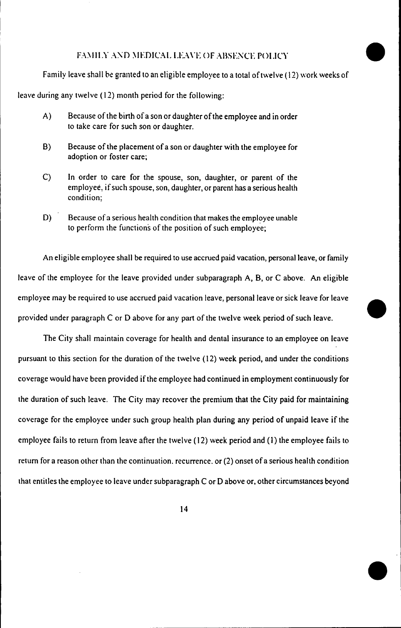#### FAMILY AND MEDICAL LEAVE OF ABSENCE POLICY.

Family leave shall be granted to an eligible employee to a total of twelve (12) work weeks of

.

.

.<br>ا

leave during any twelve (12) month period for the following:

- A) Because of the birth of a son or daughter of the employee and in order to take care for such son or daughter.
- B) Because of the placement of a son or daughter with the employee for adoption or foster care;
- C) In order to care for the spouse, son, daughter, or parent of the employee, if such spouse, son, daughter, or parent has a serious health condition:
- D) Because of a serious health condition that makes the employee unable to perform the functions of the position of such employee;

An eligible employee shall be required to use accrued paid vacation, personal leave, or family leave of the employee for the leave provided under subparagraph A, B, or C above. An eligible employee may be required to use accrued paid vacation leave, personal leave or sick leave for leave provided under paragraph C or 0 above for any part of the twelve week period of such leave.

The City shall maintain coverage for health and dental insurance to an employee on leave pursuant to this section for the duration of the twelve (12) week period, and under the conditions coverage would have been provided if the employee had continued in employment continuously for the duration of such leave. The City may recover the premium that the City paid for maintaining coverage for the employee under such group health plan during any period of unpaid leave if the employee fails to return from leave after the twelve (12) week period and (1) the employee fails to return for a reason other than the continuation. recurrence. or (2) onset of a serious health condition that entitles the employee to leave under subparagraph C or 0 above or, other circumstances beyond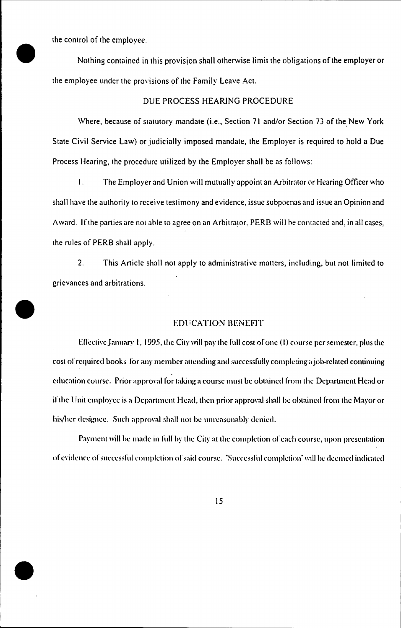the control of the employee.

.

.

.

Nothing contained in this provision shall otherwise limit the obligations of the employer or the employee under the provisions of the Family Leave Act.

#### DUE PROCESS HEARING PROCEDURE

Where, because of statutory mandate (i.e., Section 71 and/or Section 73 of the New York State Civil Service Law) or judicially imposed mandate, the Employer is required to hold a Due Process Hearing, the procedure utilized by the Employer shall be as follows:

I. The Employer and Union will mutually appoint an Arbitrator or Hearing Officer who shall have the authority to receive testimony and evidence, issue subpoenas and issue an Opinion and A ward. If the parties are not able to agree on an Arbitrator. PERB will be contacted and, in all cases, the niles of PERB shall apply.

2. This Article shall not apply to administrative matters, including. but not limited to grievances and arbitrations.

#### EDt iCATION BENEFIT

Effective January 1, 1995, the City will pay the full cost of one (1) course per semester, plus the cost of required books for any member attending and successfully completing a job-related continuing education course. Prior approval for taking a course must be obtained from the Department Head or if the {!nit employee is a Department Head. lhen prior approval shall he ohtained from the Mayor or his/her designee. Such approval shall not be unreasonably denied.

Payment will he made in full hy the City at the completion of each course, upon presentation of evidence of successful completion of said course. "Successful completion" will be deemed indicated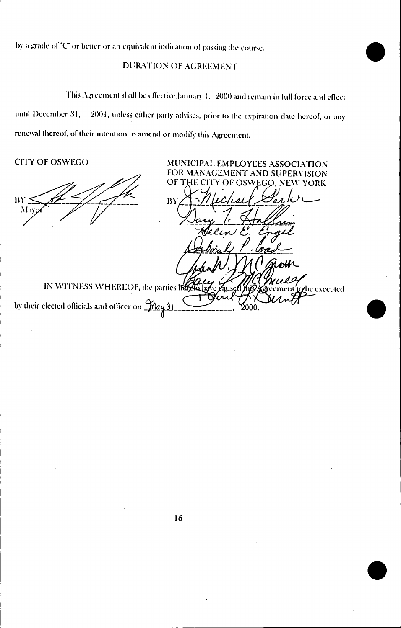by a grade of "C" or better or an equivalent indication of passing the course.

#### DURATION OF AGREEMENT

This Agreement shall be effective January 1, 2000 and remain in full force and effect 2001, unless either party advises, prior to the expiration date hereof, or any until December 31, renewal thereof, of their intention to amend or modify this Agreement.

> MUNICIPAL EMPLOYEES ASSOCIATION FOR MANAGEMENT AND SUPERVISION

CITY OF OSWEGO

BY May

OF THE CIT ۱Ś WEGO, NEW YORK  $BY$ IN WITNESS WHEREOF, the parties here **be** executed by their elected officials and officer on  $\frac{\mathcal{M}_{q}}{\mathcal{M}_{q}}$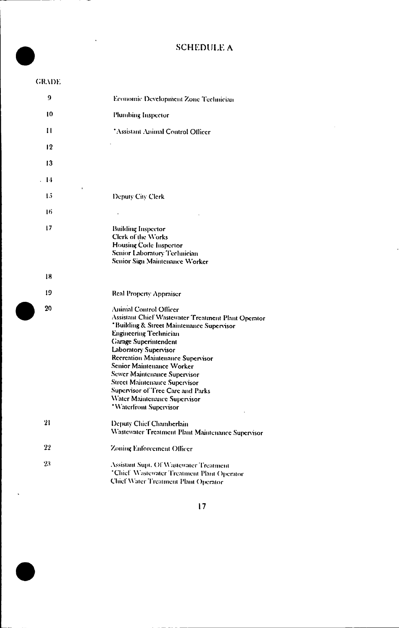#### **SCHEDULE A**

#### **GRADE**

l.

 $\ddot{\phantom{a}}$ 

| 9    | Economic Development Zone Technician                                                                                                                                                                                                                                                                                                                                                                                                                   |
|------|--------------------------------------------------------------------------------------------------------------------------------------------------------------------------------------------------------------------------------------------------------------------------------------------------------------------------------------------------------------------------------------------------------------------------------------------------------|
| 10   | Plumbing Inspector                                                                                                                                                                                                                                                                                                                                                                                                                                     |
| 11   | 'Assistant Animal Control Officer                                                                                                                                                                                                                                                                                                                                                                                                                      |
| 12   |                                                                                                                                                                                                                                                                                                                                                                                                                                                        |
| 13   |                                                                                                                                                                                                                                                                                                                                                                                                                                                        |
| . 14 |                                                                                                                                                                                                                                                                                                                                                                                                                                                        |
| 15   | Deputy City Clerk                                                                                                                                                                                                                                                                                                                                                                                                                                      |
| 16   | $\cdot$                                                                                                                                                                                                                                                                                                                                                                                                                                                |
| 17   | <b>Building Inspector</b><br>Clerk of the Works<br>Housing Code Inspector<br>Senior Laboratory Technician<br>Senior Sign Maintenance Worker                                                                                                                                                                                                                                                                                                            |
| 18   |                                                                                                                                                                                                                                                                                                                                                                                                                                                        |
| 19   | Real Property Appraiser                                                                                                                                                                                                                                                                                                                                                                                                                                |
| 20   | Animal Control Officer<br>Assistant Chief Wastewater Treatment Plant Operator<br>*Building & Street Maintenance Supervisor<br>Engineering Technician<br><b>Garage Superintendent</b><br>Laboratory Supervisor<br>Recreation Maintenance Supervisor<br>Senior Maintenance Worker<br>Sewer Maintenance Supervisor<br><b>Street Maintenance Supervisor</b><br>Supervisor of Tree Care and Parks<br>Water Maintenance Supervisor<br>*Waterfront Supervisor |
| 21   | Deputy Chief Chamberlain<br>Wastewater Treatment Plant Maintenance Supervisor                                                                                                                                                                                                                                                                                                                                                                          |
| 22   | Zoning Enforcement Officer                                                                                                                                                                                                                                                                                                                                                                                                                             |
| 23   | Assistant Supt. Of Wastewater Treatment<br>'Chief Wastewater Treatment Plant Operator<br>Chief Water Treatment Plant Operator                                                                                                                                                                                                                                                                                                                          |

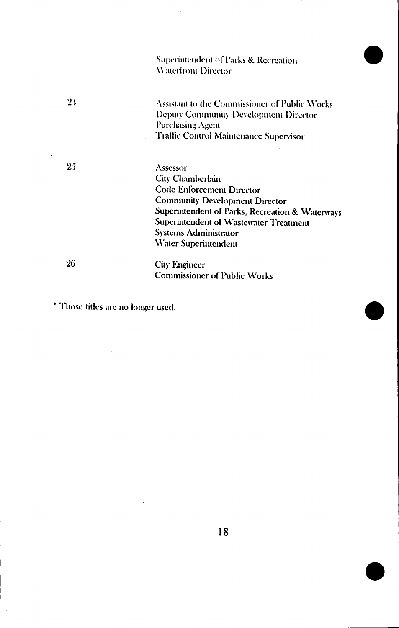Superintendent of Parks & Recreation Waterfront Director

Assistant to the Commissioner of Public Works Deputy Community Development Director Purchasing Agent Traffic Control Maintenance Supervisor

 $2.5$ 

 $21$ 

Assessor City Chamberlain **Code Enforcement Director Community Development Director** Superintendent of Parks, Recreation & Waterways Superintendent of Wastewater Treatment **Systems Administrator** Water Superintendent

26

**City Engineer Commissioner of Public Works** 

\* Those titles are no longer used.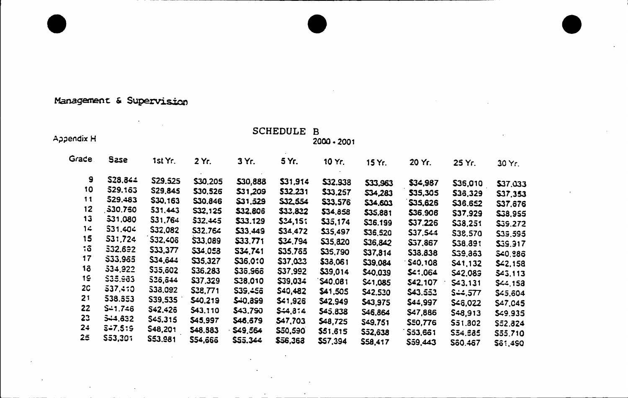#### Management & Supervision

 $\mathcal{L}(\mathcal{A})$  and  $\mathcal{L}(\mathcal{A})$ 

|            |             |                |                |                | <b>SCHEDULE</b> | B        |                 |                |           |                |
|------------|-------------|----------------|----------------|----------------|-----------------|----------|-----------------|----------------|-----------|----------------|
| Appendix H |             | 2000 - 2001    |                |                |                 |          |                 |                |           |                |
| Grade.     | Sase        | 1st Yr.        | 2 Yr.          | 3 Yr.          | 5 Yr.           | 10 Yr.   | 15 Yr.          | 20 Yr.         | 25 Yr.    | 30 Yr.         |
| 9          | S28.844     | <b>S29.525</b> | \$30,205       | \$30,888       | \$31,914        | \$32,938 | \$33,963        | \$34,987       | \$36,010  | \$37,033       |
| 10         | \$29.163    | S29,845        | \$30,526       | \$31,209       | \$32,231        | \$33,257 | <b>\$34,283</b> | \$35,305       | S36,329   | 537,353        |
| 11         | 529.483     | S30,163        | S30.846        | \$31.529       | <b>S32554</b>   | \$33.576 | \$34,603        | \$35.626       | \$36.652  | S37,676        |
| 12         | 530.760     | 531,443        | <b>S32.125</b> | \$32,806       | \$33,832        | \$34,858 | \$35,881        | \$36,906       | S37.929   | \$38,955       |
| 13         | 531,080     | S31,764        | \$32,445       | \$33.129       | 534,151         | \$35,174 | S36.199         | \$37,226       | S38,251   | \$35.272       |
| 14         | S31.404     | \$32,082       | 532.764        | \$33,449       | 534,472         | \$35.497 | \$36,520        | S37.544        | S38.570   | \$39,595       |
| 15         | 531,724     | \$32,406       | \$33,089       | \$33,771       | \$34,794        | \$35,820 | S36,842         | <b>S37,867</b> | \$38.891  | \$39.917       |
| ة:         | 532.692     | <b>S33,377</b> | \$34,058       | S34.741        | \$35,765        | \$35,790 | S37,814         | \$38,838       | \$39,863  | \$40,986       |
| 17         | \$33.965    | \$34,644       | \$35,327       | \$36.0:0       | \$37,023        | \$38,061 | \$39,084        | S40.108        | S41,132   | \$42,158       |
| 18         | 334,922     | <b>S35,602</b> | S36,283        | \$36.966       | <b>S37,992</b>  | \$39,014 | \$40,039        | \$41.064       | S42.089   | \$43,113       |
| 19         | \$35,983    | 536,644        | \$37.329       | S38,010        | \$39.034        | \$40.081 | \$41,085        | S42,107        | S43.131   | \$44,153       |
| 2C         | 537,410     | \$38,092       | S38,771        | \$39.456       | \$40,482        | \$41,505 | \$42,530        | \$43.553       | $S = 577$ | \$45,604       |
| 21         | 538.553     | S39,535        | \$40,219       | \$40.899       | \$41,926        | \$42.949 | \$43,975        | \$44,997       | \$46,022  | \$47,045       |
| 22         | S-1.746     | S42,426        | 543,110        | \$43.790       | \$4.374         | \$45,838 | S46,864         | \$47,886       | S48.913   | \$49.935       |
| 23         | 544.632     | \$45.315       | \$45,997       | S46.679        | \$47,703        | \$48,725 | S49.751         | <b>S50,776</b> | 551.302   | S52.824        |
| 24         | $3 - 7.5:5$ | S48,201        | <b>S48.883</b> | <b>S49.564</b> | \$50,590        | \$51.615 | \$52,638        | S53,661        | S54.685   | S55.710        |
| 25         | \$53,301    | S53.981        | <b>S54,666</b> | 555,344        | \$56,363        | \$57,394 | S58.417         | S59.443        | Sã0 467   | <b>SA1 490</b> |

 $\mathcal{L}$